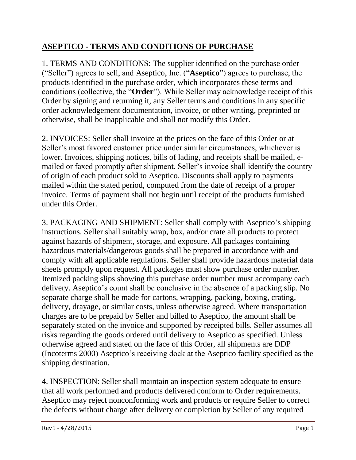## **ASEPTICO - TERMS AND CONDITIONS OF PURCHASE**

1. TERMS AND CONDITIONS: The supplier identified on the purchase order ("Seller") agrees to sell, and Aseptico, Inc. ("**Aseptico**") agrees to purchase, the products identified in the purchase order, which incorporates these terms and conditions (collective, the "**Order**"). While Seller may acknowledge receipt of this Order by signing and returning it, any Seller terms and conditions in any specific order acknowledgement documentation, invoice, or other writing, preprinted or otherwise, shall be inapplicable and shall not modify this Order.

2. INVOICES: Seller shall invoice at the prices on the face of this Order or at Seller's most favored customer price under similar circumstances, whichever is lower. Invoices, shipping notices, bills of lading, and receipts shall be mailed, emailed or faxed promptly after shipment. Seller's invoice shall identify the country of origin of each product sold to Aseptico. Discounts shall apply to payments mailed within the stated period, computed from the date of receipt of a proper invoice. Terms of payment shall not begin until receipt of the products furnished under this Order.

3. PACKAGING AND SHIPMENT: Seller shall comply with Aseptico's shipping instructions. Seller shall suitably wrap, box, and/or crate all products to protect against hazards of shipment, storage, and exposure. All packages containing hazardous materials/dangerous goods shall be prepared in accordance with and comply with all applicable regulations. Seller shall provide hazardous material data sheets promptly upon request. All packages must show purchase order number. Itemized packing slips showing this purchase order number must accompany each delivery. Aseptico's count shall be conclusive in the absence of a packing slip. No separate charge shall be made for cartons, wrapping, packing, boxing, crating, delivery, drayage, or similar costs, unless otherwise agreed. Where transportation charges are to be prepaid by Seller and billed to Aseptico, the amount shall be separately stated on the invoice and supported by receipted bills. Seller assumes all risks regarding the goods ordered until delivery to Aseptico as specified. Unless otherwise agreed and stated on the face of this Order, all shipments are DDP (Incoterms 2000) Aseptico's receiving dock at the Aseptico facility specified as the shipping destination.

4. INSPECTION: Seller shall maintain an inspection system adequate to ensure that all work performed and products delivered conform to Order requirements. Aseptico may reject nonconforming work and products or require Seller to correct the defects without charge after delivery or completion by Seller of any required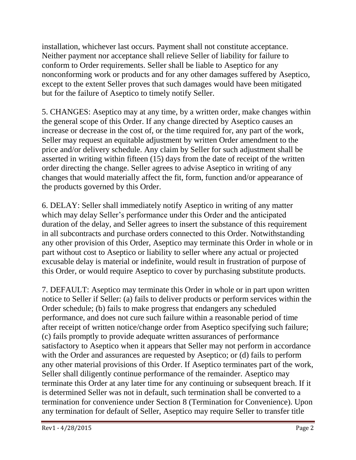installation, whichever last occurs. Payment shall not constitute acceptance. Neither payment nor acceptance shall relieve Seller of liability for failure to conform to Order requirements. Seller shall be liable to Aseptico for any nonconforming work or products and for any other damages suffered by Aseptico, except to the extent Seller proves that such damages would have been mitigated but for the failure of Aseptico to timely notify Seller.

5. CHANGES: Aseptico may at any time, by a written order, make changes within the general scope of this Order. If any change directed by Aseptico causes an increase or decrease in the cost of, or the time required for, any part of the work, Seller may request an equitable adjustment by written Order amendment to the price and/or delivery schedule. Any claim by Seller for such adjustment shall be asserted in writing within fifteen (15) days from the date of receipt of the written order directing the change. Seller agrees to advise Aseptico in writing of any changes that would materially affect the fit, form, function and/or appearance of the products governed by this Order.

6. DELAY: Seller shall immediately notify Aseptico in writing of any matter which may delay Seller's performance under this Order and the anticipated duration of the delay, and Seller agrees to insert the substance of this requirement in all subcontracts and purchase orders connected to this Order. Notwithstanding any other provision of this Order, Aseptico may terminate this Order in whole or in part without cost to Aseptico or liability to seller where any actual or projected excusable delay is material or indefinite, would result in frustration of purpose of this Order, or would require Aseptico to cover by purchasing substitute products.

7. DEFAULT: Aseptico may terminate this Order in whole or in part upon written notice to Seller if Seller: (a) fails to deliver products or perform services within the Order schedule; (b) fails to make progress that endangers any scheduled performance, and does not cure such failure within a reasonable period of time after receipt of written notice/change order from Aseptico specifying such failure; (c) fails promptly to provide adequate written assurances of performance satisfactory to Aseptico when it appears that Seller may not perform in accordance with the Order and assurances are requested by Aseptico; or (d) fails to perform any other material provisions of this Order. If Aseptico terminates part of the work, Seller shall diligently continue performance of the remainder. Aseptico may terminate this Order at any later time for any continuing or subsequent breach. If it is determined Seller was not in default, such termination shall be converted to a termination for convenience under Section 8 (Termination for Convenience). Upon any termination for default of Seller, Aseptico may require Seller to transfer title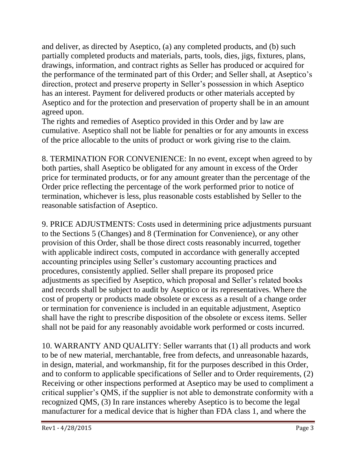and deliver, as directed by Aseptico, (a) any completed products, and (b) such partially completed products and materials, parts, tools, dies, jigs, fixtures, plans, drawings, information, and contract rights as Seller has produced or acquired for the performance of the terminated part of this Order; and Seller shall, at Aseptico's direction, protect and preserve property in Seller's possession in which Aseptico has an interest. Payment for delivered products or other materials accepted by Aseptico and for the protection and preservation of property shall be in an amount agreed upon.

The rights and remedies of Aseptico provided in this Order and by law are cumulative. Aseptico shall not be liable for penalties or for any amounts in excess of the price allocable to the units of product or work giving rise to the claim.

8. TERMINATION FOR CONVENIENCE: In no event, except when agreed to by both parties, shall Aseptico be obligated for any amount in excess of the Order price for terminated products, or for any amount greater than the percentage of the Order price reflecting the percentage of the work performed prior to notice of termination, whichever is less, plus reasonable costs established by Seller to the reasonable satisfaction of Aseptico.

9. PRICE ADJUSTMENTS: Costs used in determining price adjustments pursuant to the Sections 5 (Changes) and 8 (Termination for Convenience), or any other provision of this Order, shall be those direct costs reasonably incurred, together with applicable indirect costs, computed in accordance with generally accepted accounting principles using Seller's customary accounting practices and procedures, consistently applied. Seller shall prepare its proposed price adjustments as specified by Aseptico, which proposal and Seller's related books and records shall be subject to audit by Aseptico or its representatives. Where the cost of property or products made obsolete or excess as a result of a change order or termination for convenience is included in an equitable adjustment, Aseptico shall have the right to prescribe disposition of the obsolete or excess items. Seller shall not be paid for any reasonably avoidable work performed or costs incurred.

10. WARRANTY AND QUALITY: Seller warrants that (1) all products and work to be of new material, merchantable, free from defects, and unreasonable hazards, in design, material, and workmanship, fit for the purposes described in this Order, and to conform to applicable specifications of Seller and to Order requirements, (2) Receiving or other inspections performed at Aseptico may be used to compliment a critical supplier's QMS, if the supplier is not able to demonstrate conformity with a recognized QMS, (3) In rare instances whereby Aseptico is to become the legal manufacturer for a medical device that is higher than FDA class 1, and where the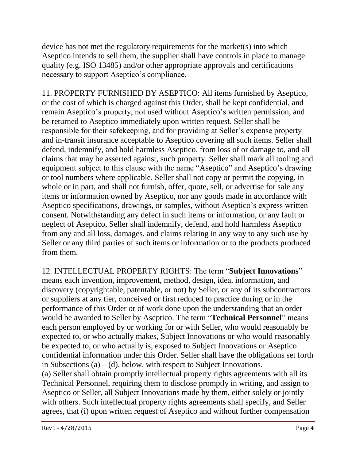device has not met the regulatory requirements for the market(s) into which Aseptico intends to sell them, the supplier shall have controls in place to manage quality (e.g. ISO 13485) and/or other appropriate approvals and certifications necessary to support Aseptico's compliance.

11. PROPERTY FURNISHED BY ASEPTICO: All items furnished by Aseptico, or the cost of which is charged against this Order, shall be kept confidential, and remain Aseptico's property, not used without Aseptico's written permission, and be returned to Aseptico immediately upon written request. Seller shall be responsible for their safekeeping, and for providing at Seller's expense property and in-transit insurance acceptable to Aseptico covering all such items. Seller shall defend, indemnify, and hold harmless Aseptico, from loss of or damage to, and all claims that may be asserted against, such property. Seller shall mark all tooling and equipment subject to this clause with the name "Aseptico" and Aseptico's drawing or tool numbers where applicable. Seller shall not copy or permit the copying, in whole or in part, and shall not furnish, offer, quote, sell, or advertise for sale any items or information owned by Aseptico, nor any goods made in accordance with Aseptico specifications, drawings, or samples, without Aseptico's express written consent. Notwithstanding any defect in such items or information, or any fault or neglect of Aseptico, Seller shall indemnify, defend, and hold harmless Aseptico from any and all loss, damages, and claims relating in any way to any such use by Seller or any third parties of such items or information or to the products produced from them.

12. INTELLECTUAL PROPERTY RIGHTS: The term "**Subject Innovations**" means each invention, improvement, method, design, idea, information, and discovery (copyrightable, patentable, or not) by Seller, or any of its subcontractors or suppliers at any tier, conceived or first reduced to practice during or in the performance of this Order or of work done upon the understanding that an order would be awarded to Seller by Aseptico. The term "**Technical Personnel**" means each person employed by or working for or with Seller, who would reasonably be expected to, or who actually makes, Subject Innovations or who would reasonably be expected to, or who actually is, exposed to Subject Innovations or Aseptico confidential information under this Order. Seller shall have the obligations set forth in Subsections (a)  $-$  (d), below, with respect to Subject Innovations. (a) Seller shall obtain promptly intellectual property rights agreements with all its Technical Personnel, requiring them to disclose promptly in writing, and assign to Aseptico or Seller, all Subject Innovations made by them, either solely or jointly with others. Such intellectual property rights agreements shall specify, and Seller agrees, that (i) upon written request of Aseptico and without further compensation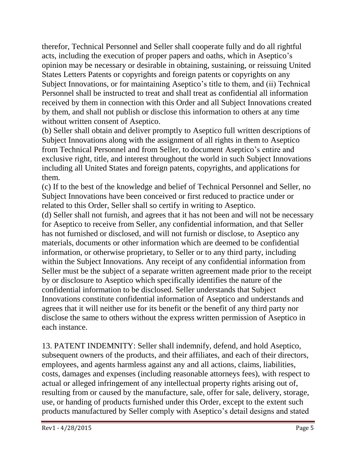therefor, Technical Personnel and Seller shall cooperate fully and do all rightful acts, including the execution of proper papers and oaths, which in Aseptico's opinion may be necessary or desirable in obtaining, sustaining, or reissuing United States Letters Patents or copyrights and foreign patents or copyrights on any Subject Innovations, or for maintaining Aseptico's title to them, and (ii) Technical Personnel shall be instructed to treat and shall treat as confidential all information received by them in connection with this Order and all Subject Innovations created by them, and shall not publish or disclose this information to others at any time without written consent of Aseptico.

(b) Seller shall obtain and deliver promptly to Aseptico full written descriptions of Subject Innovations along with the assignment of all rights in them to Aseptico from Technical Personnel and from Seller, to document Aseptico's entire and exclusive right, title, and interest throughout the world in such Subject Innovations including all United States and foreign patents, copyrights, and applications for them.

(c) If to the best of the knowledge and belief of Technical Personnel and Seller, no Subject Innovations have been conceived or first reduced to practice under or related to this Order, Seller shall so certify in writing to Aseptico.

(d) Seller shall not furnish, and agrees that it has not been and will not be necessary for Aseptico to receive from Seller, any confidential information, and that Seller has not furnished or disclosed, and will not furnish or disclose, to Aseptico any materials, documents or other information which are deemed to be confidential information, or otherwise proprietary, to Seller or to any third party, including within the Subject Innovations. Any receipt of any confidential information from Seller must be the subject of a separate written agreement made prior to the receipt by or disclosure to Aseptico which specifically identifies the nature of the confidential information to be disclosed. Seller understands that Subject Innovations constitute confidential information of Aseptico and understands and agrees that it will neither use for its benefit or the benefit of any third party nor disclose the same to others without the express written permission of Aseptico in each instance.

13. PATENT INDEMNITY: Seller shall indemnify, defend, and hold Aseptico, subsequent owners of the products, and their affiliates, and each of their directors, employees, and agents harmless against any and all actions, claims, liabilities, costs, damages and expenses (including reasonable attorneys fees), with respect to actual or alleged infringement of any intellectual property rights arising out of, resulting from or caused by the manufacture, sale, offer for sale, delivery, storage, use, or handing of products furnished under this Order, except to the extent such products manufactured by Seller comply with Aseptico's detail designs and stated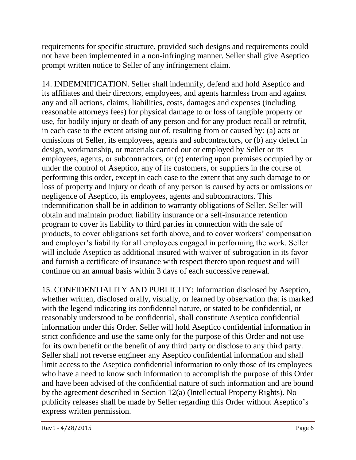requirements for specific structure, provided such designs and requirements could not have been implemented in a non-infringing manner. Seller shall give Aseptico prompt written notice to Seller of any infringement claim.

14. INDEMNIFICATION. Seller shall indemnify, defend and hold Aseptico and its affiliates and their directors, employees, and agents harmless from and against any and all actions, claims, liabilities, costs, damages and expenses (including reasonable attorneys fees) for physical damage to or loss of tangible property or use, for bodily injury or death of any person and for any product recall or retrofit, in each case to the extent arising out of, resulting from or caused by: (a) acts or omissions of Seller, its employees, agents and subcontractors, or (b) any defect in design, workmanship, or materials carried out or employed by Seller or its employees, agents, or subcontractors, or (c) entering upon premises occupied by or under the control of Aseptico, any of its customers, or suppliers in the course of performing this order, except in each case to the extent that any such damage to or loss of property and injury or death of any person is caused by acts or omissions or negligence of Aseptico, its employees, agents and subcontractors. This indemnification shall be in addition to warranty obligations of Seller. Seller will obtain and maintain product liability insurance or a self-insurance retention program to cover its liability to third parties in connection with the sale of products, to cover obligations set forth above, and to cover workers' compensation and employer's liability for all employees engaged in performing the work. Seller will include Aseptico as additional insured with waiver of subrogation in its favor and furnish a certificate of insurance with respect thereto upon request and will continue on an annual basis within 3 days of each successive renewal.

15. CONFIDENTIALITY AND PUBLICITY: Information disclosed by Aseptico, whether written, disclosed orally, visually, or learned by observation that is marked with the legend indicating its confidential nature, or stated to be confidential, or reasonably understood to be confidential, shall constitute Aseptico confidential information under this Order. Seller will hold Aseptico confidential information in strict confidence and use the same only for the purpose of this Order and not use for its own benefit or the benefit of any third party or disclose to any third party. Seller shall not reverse engineer any Aseptico confidential information and shall limit access to the Aseptico confidential information to only those of its employees who have a need to know such information to accomplish the purpose of this Order and have been advised of the confidential nature of such information and are bound by the agreement described in Section 12(a) (Intellectual Property Rights). No publicity releases shall be made by Seller regarding this Order without Aseptico's express written permission.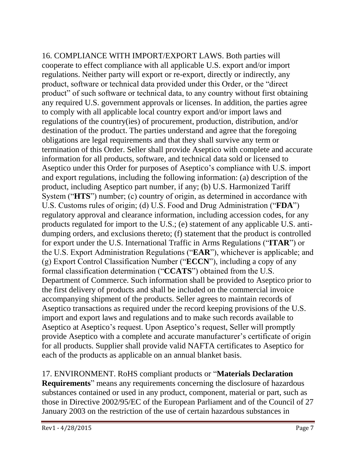16. COMPLIANCE WITH IMPORT/EXPORT LAWS. Both parties will cooperate to effect compliance with all applicable U.S. export and/or import regulations. Neither party will export or re-export, directly or indirectly, any product, software or technical data provided under this Order, or the "direct product" of such software or technical data, to any country without first obtaining any required U.S. government approvals or licenses. In addition, the parties agree to comply with all applicable local country export and/or import laws and regulations of the country(ies) of procurement, production, distribution, and/or destination of the product. The parties understand and agree that the foregoing obligations are legal requirements and that they shall survive any term or termination of this Order. Seller shall provide Aseptico with complete and accurate information for all products, software, and technical data sold or licensed to Aseptico under this Order for purposes of Aseptico's compliance with U.S. import and export regulations, including the following information: (a) description of the product, including Aseptico part number, if any; (b) U.S. Harmonized Tariff System ("**HTS**") number; (c) country of origin, as determined in accordance with U.S. Customs rules of origin; (d) U.S. Food and Drug Administration ("**FDA**") regulatory approval and clearance information, including accession codes, for any products regulated for import to the U.S.; (e) statement of any applicable U.S. antidumping orders, and exclusions thereto; (f) statement that the product is controlled for export under the U.S. International Traffic in Arms Regulations ("**ITAR**") or the U.S. Export Administration Regulations ("**EAR**"), whichever is applicable; and (g) Export Control Classification Number ("**ECCN**"), including a copy of any formal classification determination ("**CCATS**") obtained from the U.S. Department of Commerce. Such information shall be provided to Aseptico prior to the first delivery of products and shall be included on the commercial invoice accompanying shipment of the products. Seller agrees to maintain records of Aseptico transactions as required under the record keeping provisions of the U.S. import and export laws and regulations and to make such records available to Aseptico at Aseptico's request. Upon Aseptico's request, Seller will promptly provide Aseptico with a complete and accurate manufacturer's certificate of origin for all products. Supplier shall provide valid NAFTA certificates to Aseptico for each of the products as applicable on an annual blanket basis.

## 17. ENVIRONMENT. RoHS compliant products or "**Materials Declaration**

**Requirements**" means any requirements concerning the disclosure of hazardous substances contained or used in any product, component, material or part, such as those in Directive 2002/95/EC of the European Parliament and of the Council of 27 January 2003 on the restriction of the use of certain hazardous substances in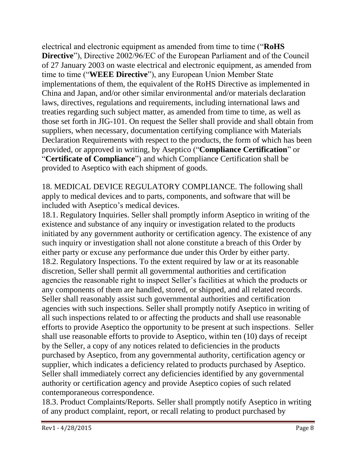electrical and electronic equipment as amended from time to time ("**RoHS Directive**"), Directive 2002/96/EC of the European Parliament and of the Council of 27 January 2003 on waste electrical and electronic equipment, as amended from time to time ("**WEEE Directive**"), any European Union Member State implementations of them, the equivalent of the RoHS Directive as implemented in China and Japan, and/or other similar environmental and/or materials declaration laws, directives, regulations and requirements, including international laws and treaties regarding such subject matter, as amended from time to time, as well as those set forth in JIG-101. On request the Seller shall provide and shall obtain from suppliers, when necessary, documentation certifying compliance with Materials Declaration Requirements with respect to the products, the form of which has been provided, or approved in writing, by Aseptico ("**Compliance Certification**" or "**Certificate of Compliance**") and which Compliance Certification shall be provided to Aseptico with each shipment of goods.

18. MEDICAL DEVICE REGULATORY COMPLIANCE. The following shall apply to medical devices and to parts, components, and software that will be included with Aseptico's medical devices.

18.1. Regulatory Inquiries. Seller shall promptly inform Aseptico in writing of the existence and substance of any inquiry or investigation related to the products initiated by any government authority or certification agency. The existence of any such inquiry or investigation shall not alone constitute a breach of this Order by either party or excuse any performance due under this Order by either party. 18.2. Regulatory Inspections. To the extent required by law or at its reasonable discretion, Seller shall permit all governmental authorities and certification agencies the reasonable right to inspect Seller's facilities at which the products or any components of them are handled, stored, or shipped, and all related records. Seller shall reasonably assist such governmental authorities and certification agencies with such inspections. Seller shall promptly notify Aseptico in writing of all such inspections related to or affecting the products and shall use reasonable efforts to provide Aseptico the opportunity to be present at such inspections. Seller shall use reasonable efforts to provide to Aseptico, within ten (10) days of receipt by the Seller, a copy of any notices related to deficiencies in the products purchased by Aseptico, from any governmental authority, certification agency or supplier, which indicates a deficiency related to products purchased by Aseptico. Seller shall immediately correct any deficiencies identified by any governmental authority or certification agency and provide Aseptico copies of such related contemporaneous correspondence.

18.3. Product Complaints/Reports. Seller shall promptly notify Aseptico in writing of any product complaint, report, or recall relating to product purchased by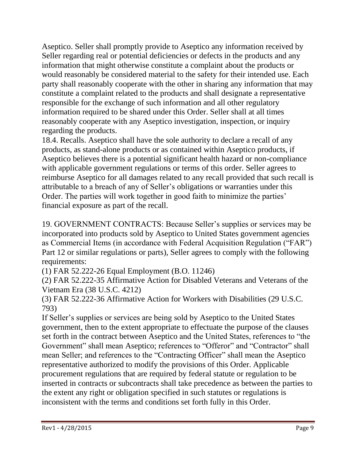Aseptico. Seller shall promptly provide to Aseptico any information received by Seller regarding real or potential deficiencies or defects in the products and any information that might otherwise constitute a complaint about the products or would reasonably be considered material to the safety for their intended use. Each party shall reasonably cooperate with the other in sharing any information that may constitute a complaint related to the products and shall designate a representative responsible for the exchange of such information and all other regulatory information required to be shared under this Order. Seller shall at all times reasonably cooperate with any Aseptico investigation, inspection, or inquiry regarding the products.

18.4. Recalls. Aseptico shall have the sole authority to declare a recall of any products, as stand-alone products or as contained within Aseptico products, if Aseptico believes there is a potential significant health hazard or non-compliance with applicable government regulations or terms of this order. Seller agrees to reimburse Aseptico for all damages related to any recall provided that such recall is attributable to a breach of any of Seller's obligations or warranties under this Order. The parties will work together in good faith to minimize the parties' financial exposure as part of the recall.

19. GOVERNMENT CONTRACTS: Because Seller's supplies or services may be incorporated into products sold by Aseptico to United States government agencies as Commercial Items (in accordance with Federal Acquisition Regulation ("FAR") Part 12 or similar regulations or parts), Seller agrees to comply with the following requirements:

(1) FAR 52.222-26 Equal Employment (B.O. 11246)

(2) FAR 52.222-35 Affirmative Action for Disabled Veterans and Veterans of the Vietnam Era (38 U.S.C. 4212)

(3) FAR 52.222-36 Affirmative Action for Workers with Disabilities (29 U.S.C. 793)

If Seller's supplies or services are being sold by Aseptico to the United States government, then to the extent appropriate to effectuate the purpose of the clauses set forth in the contract between Aseptico and the United States, references to "the Government" shall mean Aseptico; references to "Offeror" and "Contractor" shall mean Seller; and references to the "Contracting Officer" shall mean the Aseptico representative authorized to modify the provisions of this Order. Applicable procurement regulations that are required by federal statute or regulation to be inserted in contracts or subcontracts shall take precedence as between the parties to the extent any right or obligation specified in such statutes or regulations is inconsistent with the terms and conditions set forth fully in this Order.